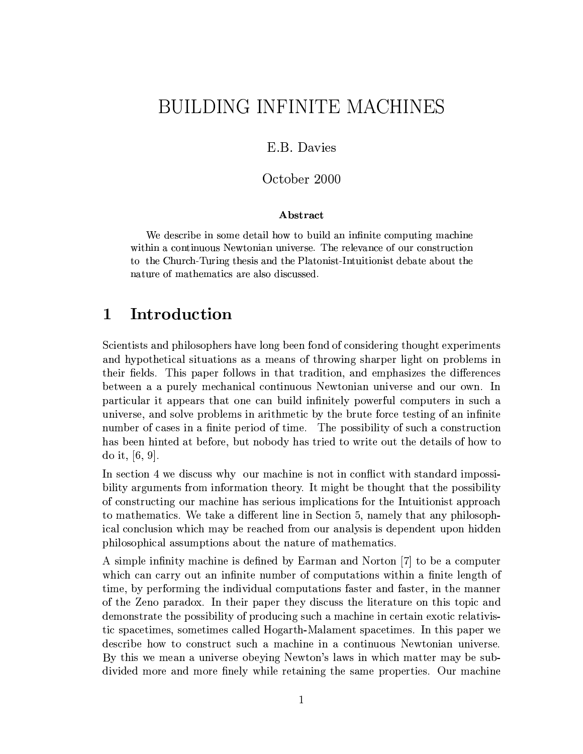# **BUILDING INFINITE MACHINES**

### E.B. Davies

### October 2000

### Abstract

We describe in some detail how to build an infinite computing machine within a continuous Newtonian universe. The relevance of our construction to the Church-Turing thesis and the Platonist-Intuitionist debate about the nature of mathematics are also discussed.

#### Introduction  $\mathbf 1$

Scientists and philosophers have long been fond of considering thought experiments and hypothetical situations as a means of throwing sharper light on problems in their fields. This paper follows in that tradition, and emphasizes the differences between a a purely mechanical continuous Newtonian universe and our own. In particular it appears that one can build infinitely powerful computers in such a universe, and solve problems in arithmetic by the brute force testing of an infinite number of cases in a finite period of time. The possibility of such a construction has been hinted at before, but nobody has tried to write out the details of how to do it,  $[6, 9]$ .

In section 4 we discuss why our machine is not in conflict with standard impossibility arguments from information theory. It might be thought that the possibility of constructing our machine has serious implications for the Intuition ist approach to mathematics. We take a different line in Section 5, namely that any philosophical conclusion which may be reached from our analysis is dependent upon hidden philosophical assumptions about the nature of mathematics.

A simple infinity machine is defined by Earman and Norton [7] to be a computer which can carry out an infinite number of computations within a finite length of time, by performing the individual computations faster and faster, in the manner of the Zeno paradox. In their paper they discuss the literature on this topic and demonstrate the possibility of producing such a machine in certain exotic relativistic spacetimes, sometimes called Hogarth-Malament spacetimes. In this paper we describe how to construct such a machine in a continuous Newtonian universe. By this we mean a universe obeying Newton's laws in which matter may be subdivided more and more finely while retaining the same properties. Our machine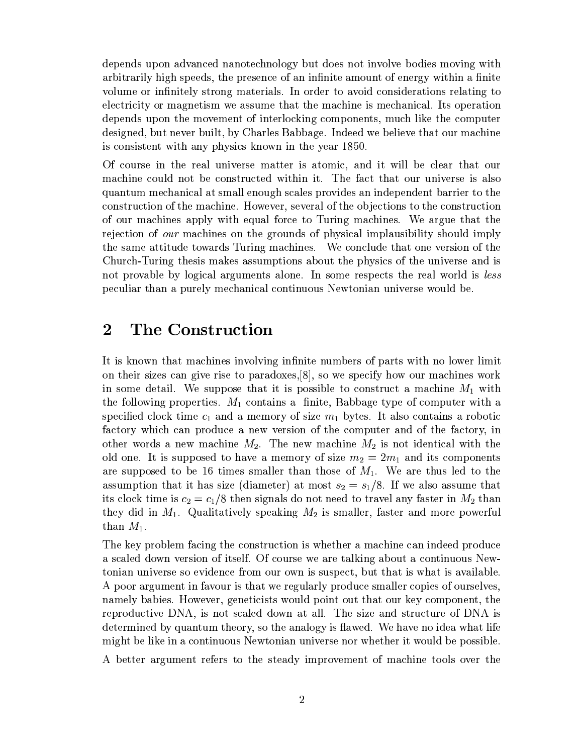depends upon advanced nanotechnology but does not involve bodies moving with arbitrarily high speeds, the presence of an infinite amount of energy within a finite volume or infinitely strong materials. In order to avoid considerations relating to electricity or magnetism we assume that the machine is mechanical. Its operation depends upon the movement of interlocking components, much like the computer designed, but never built, by Charles Babbage. Indeed we believe that our machine is consistent with any physics known in the year 1850.

Of course in the real universe matter is atomic, and it will be clear that our machine could not be constructed within it. The fact that our universe is also quantum mechanical at small enough scales provides an independent barrier to the construction of the machine. However, several of the objections to the construction of our machines apply with equal force to Turing machines. We argue that the rejection of *our* machines on the grounds of physical implausibility should imply the same attitude towards Turing machines. We conclude that one version of the Church-Turing thesis makes assumptions about the physics of the universe and is not provable by logical arguments alone. In some respects the real world is less peculiar than a purely mechanical continuous Newtonian universe would be.

#### $\overline{2}$ The Construction

It is known that machines involving infinite numbers of parts with no lower limit on their sizes can give rise to paradoxes,  $[8]$ , so we specify how our machines work in some detail. We suppose that it is possible to construct a machine  $M_1$  with the following properties.  $M_1$  contains a finite, Babbage type of computer with a specified clock time  $c_1$  and a memory of size  $m_1$  bytes. It also contains a robotic factory which can produce a new version of the computer and of the factory, in other words a new machine  $M_2$ . The new machine  $M_2$  is not identical with the old one. It is supposed to have a memory of size  $m_2 = 2m_1$  and its components are supposed to be 16 times smaller than those of  $M_1$ . We are thus led to the assumption that it has size (diameter) at most  $s_2 = s_1/8$ . If we also assume that its clock time is  $c_2 = c_1/8$  then signals do not need to travel any faster in  $M_2$  than they did in  $M_1$ . Qualitatively speaking  $M_2$  is smaller, faster and more powerful than  $M_1$ .

The key problem facing the construction is whether a machine can indeed produce a scaled down version of itself. Of course we are talking about a continuous Newtonian universe so evidence from our own is suspect, but that is what is available. A poor argument in favour is that we regularly produce smaller copies of ourselves, namely babies. However, geneticists would point out that our key component, the reproductive DNA, is not scaled down at all. The size and structure of DNA is determined by quantum theory, so the analogy is flawed. We have no idea what life might be like in a continuous Newtonian universe nor whether it would be possible. A better argument refers to the steady improvement of machine tools over the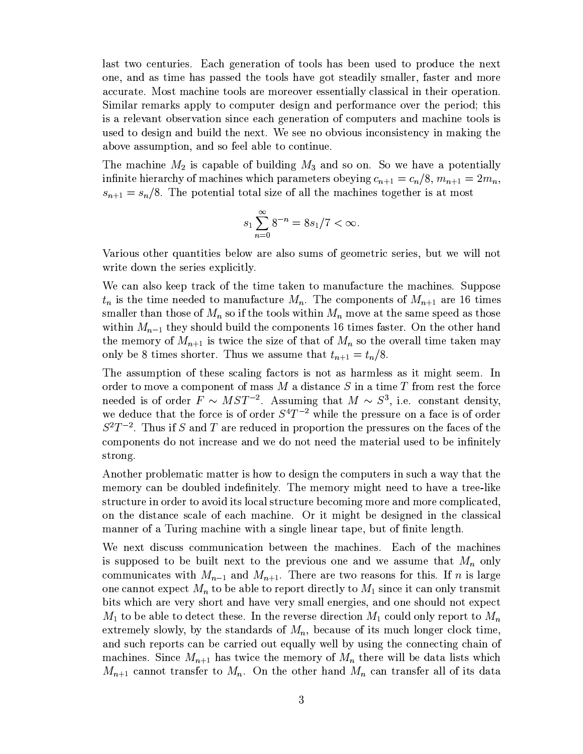last two centuries. Each generation of tools has been used to produce the next one, and as time has passed the tools have got steadily smaller, faster and more accurate. Most machine tools are moreover essentially classical in their operation. Similar remarks apply to computer design and performance over the period; this is a relevant observation since each generation of computers and machine tools is used to design and build the next. We see no obvious inconsistency in making the above assumption, and so feel able to continue.

The machine  $M_2$  is capable of building  $M_3$  and so on. So we have a potentially infinite hierarchy of machines which parameters obeying  $c_{n+1} = c_n/8$ ,  $m_{n+1} = 2m_n$ ,  $s_{n+1} = s_n/8$ . The potential total size of all the machines together is at most

$$
s_1 \sum_{n=0}^{\infty} 8^{-n} = 8s_1/7 < \infty.
$$

Various other quantities below are also sums of geometric series, but we will not write down the series explicitly.

We can also keep track of the time taken to manufacture the machines. Suppose  $t_n$  is the time needed to manufacture  $M_n$ . The components of  $M_{n+1}$  are 16 times smaller than those of  $M_n$  so if the tools within  $M_n$  move at the same speed as those within  $M_{n-1}$  they should build the components 16 times faster. On the other hand the memory of  $M_{n+1}$  is twice the size of that of  $M_n$  so the overall time taken may only be 8 times shorter. Thus we assume that  $t_{n+1} = t_n/8$ .

The assumption of these scaling factors is not as harmless as it might seem. In order to move a component of mass  $M$  a distance  $S$  in a time  $T$  from rest the force needed is of order  $F \sim MST^{-2}$ . Assuming that  $M \sim S^3$ , i.e. constant density, we deduce that the force is of order  $S^4T^{-2}$  while the pressure on a face is of order  $S^2T^{-2}$ . Thus if S and T are reduced in proportion the pressures on the faces of the components do not increase and we do not need the material used to be infinitely strong.

Another problematic matter is how to design the computers in such a way that the memory can be doubled indefinitely. The memory might need to have a tree-like structure in order to avoid its local structure becoming more and more complicated, on the distance scale of each machine. Or it might be designed in the classical manner of a Turing machine with a single linear tape, but of finite length.

We next discuss communication between the machines. Each of the machines is supposed to be built next to the previous one and we assume that  $M_n$  only communicates with  $M_{n-1}$  and  $M_{n+1}$ . There are two reasons for this. If n is large one cannot expect  $M_n$  to be able to report directly to  $M_1$  since it can only transmit bits which are very short and have very small energies, and one should not expect  $M_1$  to be able to detect these. In the reverse direction  $M_1$  could only report to  $M_n$ extremely slowly, by the standards of  $M_n$ , because of its much longer clock time, and such reports can be carried out equally well by using the connecting chain of machines. Since  $M_{n+1}$  has twice the memory of  $M_n$  there will be data lists which  $M_{n+1}$  cannot transfer to  $M_n$ . On the other hand  $M_n$  can transfer all of its data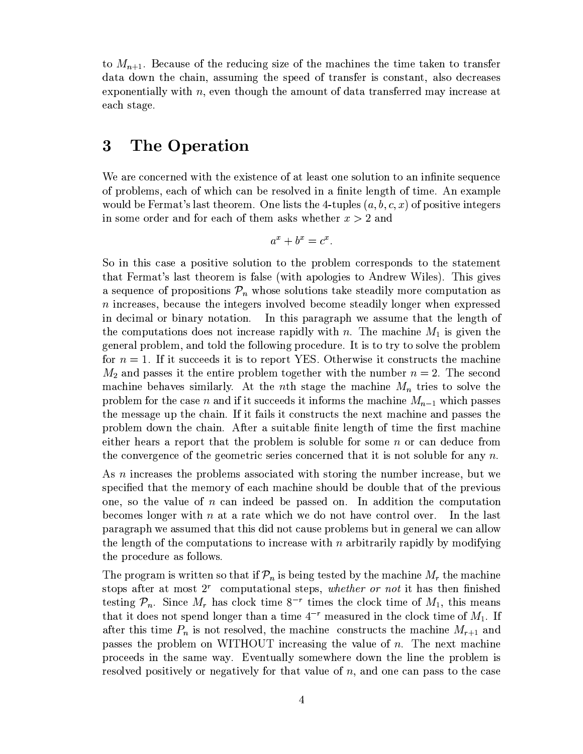to  $M_{n+1}$ . Because of the reducing size of the machines the time taken to transfer data down the chain, assuming the speed of transfer is constant, also decreases exponentially with  $n$ , even though the amount of data transferred may increase at each stage.

#### The Operation 3

We are concerned with the existence of at least one solution to an infinite sequence of problems, each of which can be resolved in a finite length of time. An example would be Fermat's last theorem. One lists the 4-tuples  $(a, b, c, x)$  of positive integers in some order and for each of them asks whether  $x > 2$  and

$$
a^x + b^x = c^x
$$

So in this case a positive solution to the problem corresponds to the statement that Fermat's last theorem is false (with apologies to Andrew Wiles). This gives a sequence of propositions  $P_n$  whose solutions take steadily more computation as *n* increases, because the integers involved become steadily longer when expressed in decimal or binary notation. In this paragraph we assume that the length of the computations does not increase rapidly with n. The machine  $M_1$  is given the general problem, and told the following procedure. It is to try to solve the problem for  $n = 1$ . If it succeeds it is to report YES. Otherwise it constructs the machine  $M_2$  and passes it the entire problem together with the number  $n = 2$ . The second machine behaves similarly. At the *n*th stage the machine  $M_n$  tries to solve the problem for the case n and if it succeeds it informs the machine  $M_{n-1}$  which passes the message up the chain. If it fails it constructs the next machine and passes the problem down the chain. After a suitable finite length of time the first machine either hears a report that the problem is soluble for some  $n$  or can deduce from the convergence of the geometric series concerned that it is not soluble for any  $n$ .

As n increases the problems associated with storing the number increase, but we specified that the memory of each machine should be double that of the previous one, so the value of  $n$  can indeed be passed on. In addition the computation becomes longer with  $n$  at a rate which we do not have control over. In the last paragraph we assumed that this did not cause problems but in general we can allow the length of the computations to increase with n arbitrarily rapidly by modifying the procedure as follows.

The program is written so that if  $\mathcal{P}_n$  is being tested by the machine  $M_r$  the machine stops after at most  $2<sup>r</sup>$  computational steps, whether or not it has then finished testing  $P_n$ . Since  $M_r$  has clock time  $8^{-r}$  times the clock time of  $M_1$ , this means that it does not spend longer than a time  $4^{-r}$  measured in the clock time of  $M_1$ . If after this time  $P_n$  is not resolved, the machine constructs the machine  $M_{r+1}$  and passes the problem on WITHOUT increasing the value of  $n$ . The next machine proceeds in the same way. Eventually somewhere down the line the problem is resolved positively or negatively for that value of  $n$ , and one can pass to the case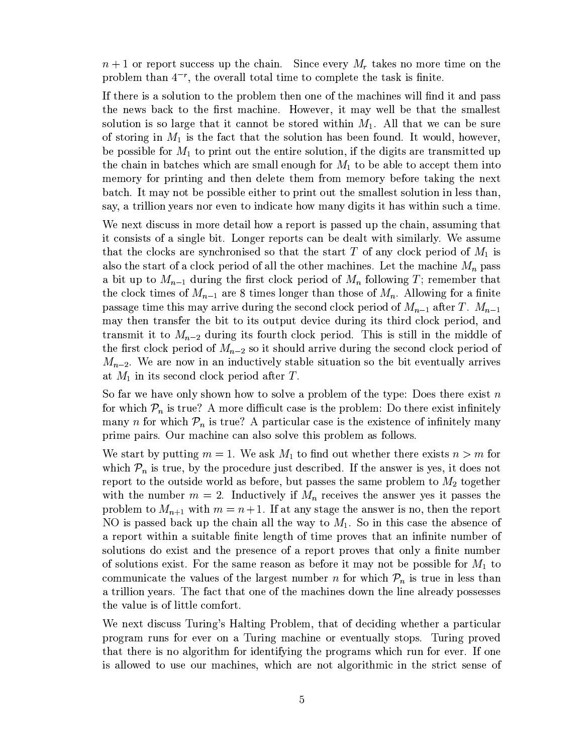$n+1$  or report success up the chain. Since every  $M_r$  takes no more time on the problem than  $4^{-r}$ , the overall total time to complete the task is finite.

If there is a solution to the problem then one of the machines will find it and pass the news back to the first machine. However, it may well be that the smallest solution is so large that it cannot be stored within  $M_1$ . All that we can be sure of storing in  $M_1$  is the fact that the solution has been found. It would, however, be possible for  $M_1$  to print out the entire solution, if the digits are transmitted up the chain in batches which are small enough for  $M_1$  to be able to accept them into memory for printing and then delete them from memory before taking the next batch. It may not be possible either to print out the smallest solution in less than, say, a trillion years nor even to indicate how many digits it has within such a time.

We next discuss in more detail how a report is passed up the chain, assuming that it consists of a single bit. Longer reports can be dealt with similarly. We assume that the clocks are synchronised so that the start T of any clock period of  $M_1$  is also the start of a clock period of all the other machines. Let the machine  $M_n$  pass a bit up to  $M_{n-1}$  during the first clock period of  $M_n$  following T; remember that the clock times of  $M_{n-1}$  are 8 times longer than those of  $M_n$ . Allowing for a finite passage time this may arrive during the second clock period of  $M_{n-1}$  after T.  $M_{n-1}$ may then transfer the bit to its output device during its third clock period, and transmit it to  $M_{n-2}$  during its fourth clock period. This is still in the middle of the first clock period of  $M_{n-2}$  so it should arrive during the second clock period of  $M_{n-2}$ . We are now in an inductively stable situation so the bit eventually arrives at  $M_1$  in its second clock period after T.

So far we have only shown how to solve a problem of the type: Does there exist n for which  $P_n$  is true? A more difficult case is the problem: Do there exist infinitely many *n* for which  $\mathcal{P}_n$  is true? A particular case is the existence of infinitely many prime pairs. Our machine can also solve this problem as follows.

We start by putting  $m = 1$ . We ask  $M_1$  to find out whether there exists  $n > m$  for which  $P_n$  is true, by the procedure just described. If the answer is yes, it does not report to the outside world as before, but passes the same problem to  $M_2$  together with the number  $m = 2$ . Inductively if  $M_n$  receives the answer yes it passes the problem to  $M_{n+1}$  with  $m = n+1$ . If at any stage the answer is no, then the report NO is passed back up the chain all the way to  $M_1$ . So in this case the absence of a report within a suitable finite length of time proves that an infinite number of solutions do exist and the presence of a report proves that only a finite number of solutions exist. For the same reason as before it may not be possible for  $M_1$  to communicate the values of the largest number n for which  $P_n$  is true in less than a trillion years. The fact that one of the machines down the line already possesses the value is of little comfort.

We next discuss Turing's Halting Problem, that of deciding whether a particular program runs for ever on a Turing machine or eventually stops. Turing proved that there is no algorithm for identifying the programs which run for ever. If one is allowed to use our machines, which are not algorithmic in the strict sense of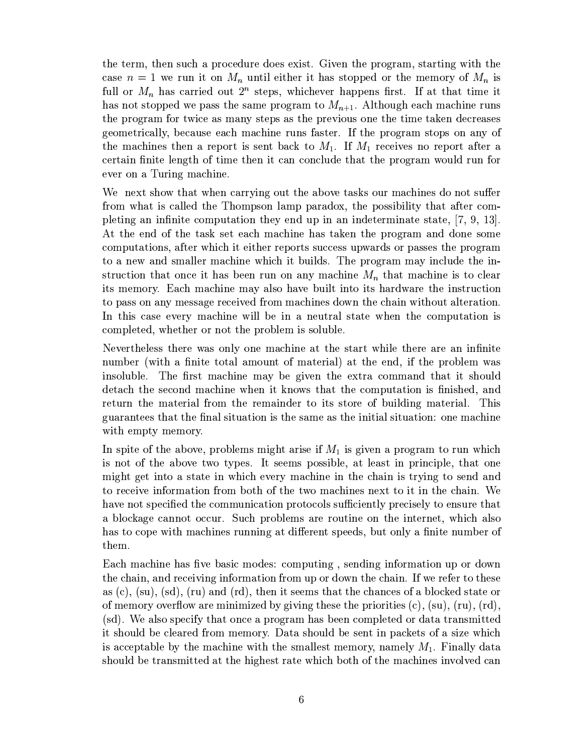the term, then such a procedure does exist. Given the program, starting with the case  $n = 1$  we run it on  $M_n$  until either it has stopped or the memory of  $M_n$  is full or  $M_n$  has carried out  $2^n$  steps, whichever happens first. If at that time it has not stopped we pass the same program to  $M_{n+1}$ . Although each machine runs the program for twice as many steps as the previous one the time taken decreases geometrically, because each machine runs faster. If the program stops on any of the machines then a report is sent back to  $M_1$ . If  $M_1$  receives no report after a certain finite length of time then it can conclude that the program would run for ever on a Turing machine.

We next show that when carrying out the above tasks our machines do not suffer from what is called the Thompson lamp paradox, the possibility that after completing an infinite computation they end up in an indeterminate state,  $[7, 9, 13]$ . At the end of the task set each machine has taken the program and done some computations, after which it either reports success upwards or passes the program to a new and smaller machine which it builds. The program may include the instruction that once it has been run on any machine  $M_n$  that machine is to clear its memory. Each machine may also have built into its hardware the instruction to pass on any message received from machines down the chain without alteration. In this case every machine will be in a neutral state when the computation is completed, whether or not the problem is soluble.

Nevertheless there was only one machine at the start while there are an infinite number (with a finite total amount of material) at the end, if the problem was insoluble. The first machine may be given the extra command that it should detach the second machine when it knows that the computation is finished, and return the material from the remainder to its store of building material. This guarantees that the final situation is the same as the initial situation: one machine with empty memory.

In spite of the above, problems might arise if  $M_1$  is given a program to run which is not of the above two types. It seems possible, at least in principle, that one might get into a state in which every machine in the chain is trying to send and to receive information from both of the two machines next to it in the chain. We have not specified the communication protocols sufficiently precisely to ensure that a blockage cannot occur. Such problems are routine on the internet, which also has to cope with machines running at different speeds, but only a finite number of them.

Each machine has five basic modes: computing, sending information up or down the chain, and receiving information from up or down the chain. If we refer to these as  $(c)$ ,  $(su)$ ,  $(sd)$ ,  $(ru)$  and  $(rd)$ , then it seems that the chances of a blocked state or of memory overflow are minimized by giving these the priorities  $(c)$ ,  $(su)$ ,  $(ru)$ ,  $(rd)$ , (sd). We also specify that once a program has been completed or data transmitted it should be cleared from memory. Data should be sent in packets of a size which is acceptable by the machine with the smallest memory, namely  $M_1$ . Finally data should be transmitted at the highest rate which both of the machines involved can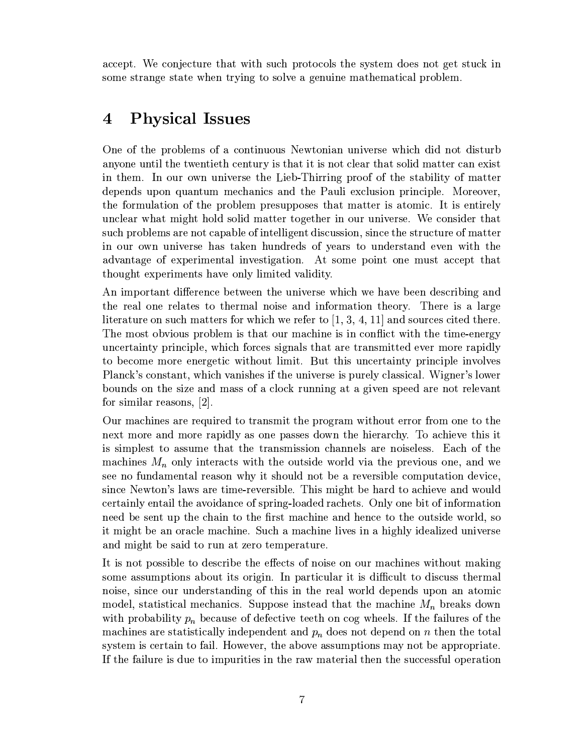accept. We conjecture that with such protocols the system does not get stuck in some strange state when trying to solve a genuine mathematical problem.

#### **Physical Issues**  $\overline{4}$

One of the problems of a continuous Newtonian universe which did not disturb anyone until the twentieth century is that it is not clear that solid matter can exist in them. In our own universe the Lieb-Thirring proof of the stability of matter depends upon quantum mechanics and the Pauli exclusion principle. Moreover, the formulation of the problem presupposes that matter is atomic. It is entirely unclear what might hold solid matter together in our universe. We consider that such problems are not capable of intelligent discussion, since the structure of matter in our own universe has taken hundreds of years to understand even with the advantage of experimental investigation. At some point one must accept that thought experiments have only limited validity.

An important difference between the universe which we have been describing and the real one relates to thermal noise and information theory. There is a large literature on such matters for which we refer to  $[1, 3, 4, 11]$  and sources cited there. The most obvious problem is that our machine is in conflict with the time-energy uncertainty principle, which forces signals that are transmitted ever more rapidly to become more energetic without limit. But this uncertainty principle involves Planck's constant, which vanishes if the universe is purely classical. Wigner's lower bounds on the size and mass of a clock running at a given speed are not relevant for similar reasons,  $[2]$ .

Our machines are required to transmit the program without error from one to the next more and more rapidly as one passes down the hierarchy. To achieve this it is simplest to assume that the transmission channels are noiseless. Each of the machines  $M_n$  only interacts with the outside world via the previous one, and we see no fundamental reason why it should not be a reversible computation device, since Newton's laws are time-reversible. This might be hard to achieve and would certainly entail the avoidance of spring-loaded rachets. Only one bit of information need be sent up the chain to the first machine and hence to the outside world, so it might be an oracle machine. Such a machine lives in a highly idealized universe and might be said to run at zero temperature.

It is not possible to describe the effects of noise on our machines without making some assumptions about its origin. In particular it is difficult to discuss thermal noise, since our understanding of this in the real world depends upon an atomic model, statistical mechanics. Suppose instead that the machine  $M_n$  breaks down with probability  $p_n$  because of defective teeth on cog wheels. If the failures of the machines are statistically independent and  $p_n$  does not depend on n then the total system is certain to fail. However, the above assumptions may not be appropriate. If the failure is due to impurities in the raw material then the successful operation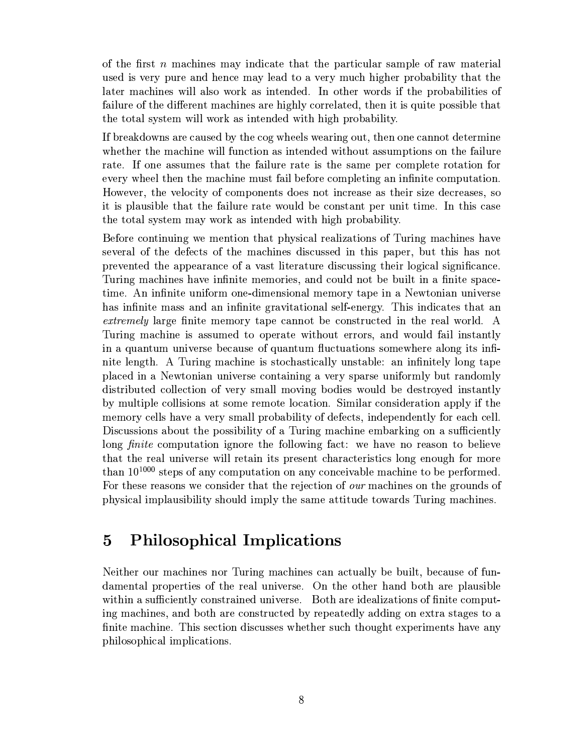of the first  $n$  machines may indicate that the particular sample of raw material used is very pure and hence may lead to a very much higher probability that the later machines will also work as intended. In other words if the probabilities of failure of the different machines are highly correlated, then it is quite possible that the total system will work as intended with high probability.

If breakdowns are caused by the cog wheels wearing out, then one cannot determine whether the machine will function as intended without assumptions on the failure rate. If one assumes that the failure rate is the same per complete rotation for every wheel then the machine must fail before completing an infinite computation. However, the velocity of components does not increase as their size decreases, so it is plausible that the failure rate would be constant per unit time. In this case the total system may work as intended with high probability.

Before continuing we mention that physical realizations of Turing machines have several of the defects of the machines discussed in this paper, but this has not prevented the appearance of a vast literature discussing their logical significance. Turing machines have infinite memories, and could not be built in a finite spacetime. An infinite uniform one-dimensional memory tape in a Newtonian universe has infinite mass and an infinite gravitational self-energy. This indicates that an *extremely* large finite memory tape cannot be constructed in the real world. A Turing machine is assumed to operate without errors, and would fail instantly in a quantum universe because of quantum fluctuations somewhere along its infinite length. A Turing machine is stochastically unstable: an infinitely long tape placed in a Newtonian universe containing a very sparse uniformly but randomly distributed collection of very small moving bodies would be destroyed instantly by multiple collisions at some remote location. Similar consideration apply if the memory cells have a very small probability of defects, independently for each cell. Discussions about the possibility of a Turing machine embarking on a sufficiently long *finite* computation ignore the following fact: we have no reason to believe that the real universe will retain its present characteristics long enough for more than  $10^{1000}$  steps of any computation on any conceivable machine to be performed. For these reasons we consider that the rejection of *our* machines on the grounds of physical implausibility should imply the same attitude towards Turing machines.

#### **Philosophical Implications** 5

Neither our machines nor Turing machines can actually be built, because of fundamental properties of the real universe. On the other hand both are plausible within a sufficiently constrained universe. Both are idealizations of finite computing machines, and both are constructed by repeatedly adding on extra stages to a finite machine. This section discusses whether such thought experiments have any philosophical implications.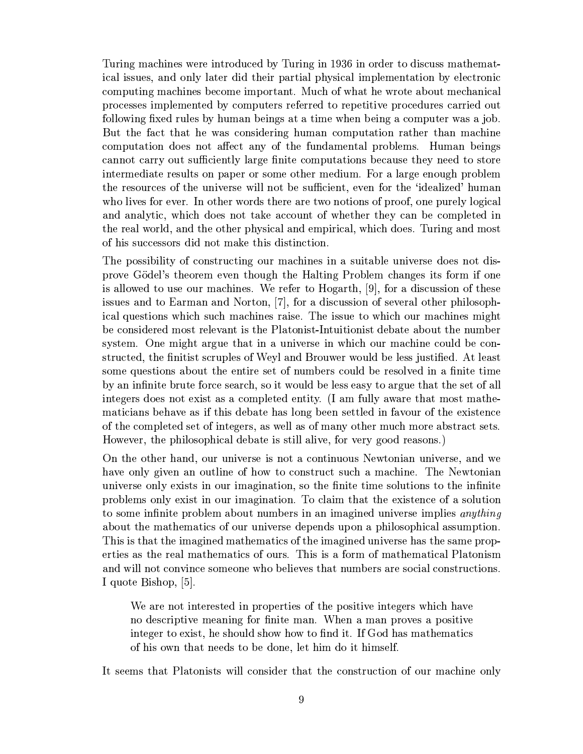Turing machines were introduced by Turing in 1936 in order to discuss mathematical issues, and only later did their partial physical implementation by electronic computing machines become important. Much of what he wrote about mechanical processes implemented by computers referred to repetitive procedures carried out following fixed rules by human beings at a time when being a computer was a job. But the fact that he was considering human computation rather than machine computation does not affect any of the fundamental problems. Human beings cannot carry out sufficiently large finite computations because they need to store intermediate results on paper or some other medium. For a large enough problem the resources of the universe will not be sufficient, even for the 'idealized' human who lives for ever. In other words there are two notions of proof, one purely logical and analytic, which does not take account of whether they can be completed in the real world, and the other physical and empirical, which does. Turing and most of his successors did not make this distinction.

The possibility of constructing our machines in a suitable universe does not disprove Gödel's theorem even though the Halting Problem changes its form if one is allowed to use our machines. We refer to Hogarth,  $[9]$ , for a discussion of these issues and to Earman and Norton, [7], for a discussion of several other philosophical questions which such machines raise. The issue to which our machines might be considered most relevant is the Platonist-Intuitionist debate about the number system. One might argue that in a universe in which our machine could be constructed, the finitist scruples of Weyl and Brouwer would be less justified. At least some questions about the entire set of numbers could be resolved in a finite time by an infinite brute force search, so it would be less easy to argue that the set of all integers does not exist as a completed entity. (I am fully aware that most mathematicians behave as if this debate has long been settled in favour of the existence of the completed set of integers, as well as of many other much more abstract sets. However, the philosophical debate is still alive, for very good reasons.)

On the other hand, our universe is not a continuous Newtonian universe, and we have only given an outline of how to construct such a machine. The Newtonian universe only exists in our imagination, so the finite time solutions to the infinite problems only exist in our imagination. To claim that the existence of a solution to some infinite problem about numbers in an imagined universe implies *anything* about the mathematics of our universe depends upon a philosophical assumption. This is that the imagined mathematics of the imagined universe has the same properties as the real mathematics of ours. This is a form of mathematical Platonism and will not convince someone who believes that numbers are social constructions. I quote Bishop. [5].

We are not interested in properties of the positive integers which have no descriptive meaning for finite man. When a man proves a positive integer to exist, he should show how to find it. If God has mathematics of his own that needs to be done, let him do it himself.

It seems that Platonists will consider that the construction of our machine only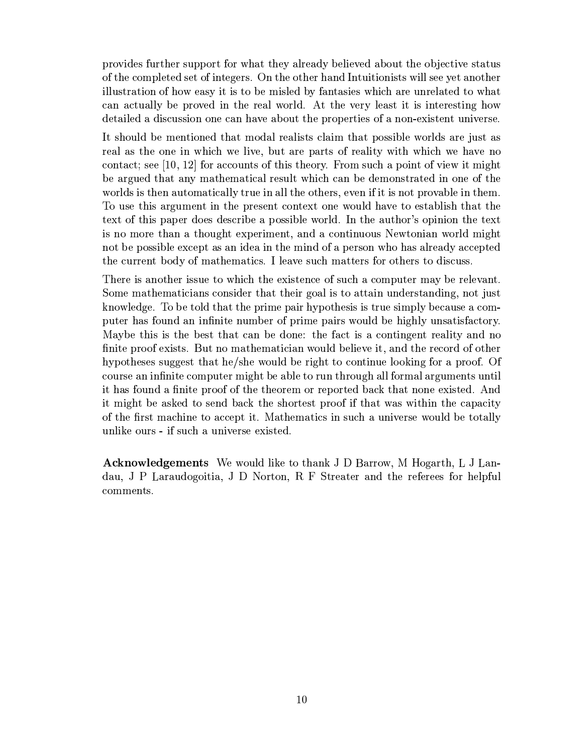provides further support for what they already believed about the objective status of the completed set of integers. On the other hand Intuitionists will see yet another illustration of how easy it is to be misled by fantasies which are unrelated to what can actually be proved in the real world. At the very least it is interesting how detailed a discussion one can have about the properties of a non-existent universe.

It should be mentioned that modal realists claim that possible worlds are just as real as the one in which we live, but are parts of reality with which we have no contact; see [10, 12] for accounts of this theory. From such a point of view it might be argued that any mathematical result which can be demonstrated in one of the worlds is then automatically true in all the others, even if it is not provable in them. To use this argument in the present context one would have to establish that the text of this paper does describe a possible world. In the author's opinion the text is no more than a thought experiment, and a continuous Newtonian world might not be possible except as an idea in the mind of a person who has already accepted the current body of mathematics. I leave such matters for others to discuss.

There is another issue to which the existence of such a computer may be relevant. Some mathematicians consider that their goal is to attain understanding, not just knowledge. To be told that the prime pair hypothesis is true simply because a computer has found an infinite number of prime pairs would be highly unsatisfactory. Maybe this is the best that can be done: the fact is a contingent reality and no finite proof exists. But no mathematician would believe it, and the record of other hypotheses suggest that he/she would be right to continue looking for a proof. Of course an infinite computer might be able to run through all formal arguments until it has found a finite proof of the theorem or reported back that none existed. And it might be asked to send back the shortest proof if that was within the capacity of the first machine to accept it. Mathematics in such a universe would be totally unlike ours - if such a universe existed.

**Acknowledgements** We would like to thank J D Barrow, M Hogarth, L J Landau, J P Laraudogoitia, J D Norton, R F Streater and the referees for helpful comments.